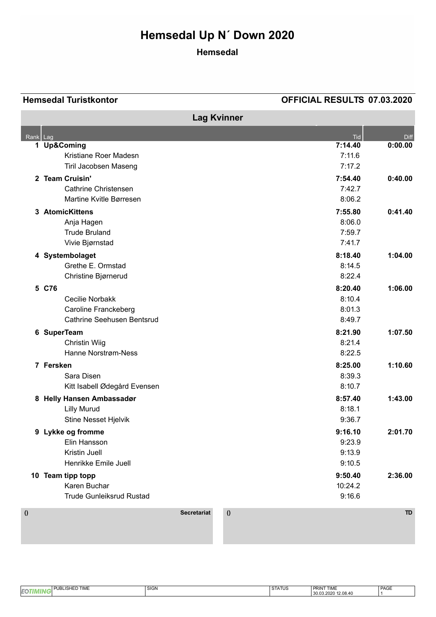# **Hemsedal Up N´ Down 2020**

## **Hemsedal**

### **Hemsedal Turistkontor OFFICIAL RESULTS 07.03.2020**

|                                |                                 |                    | <b>Lag Kvinner</b> |         |             |
|--------------------------------|---------------------------------|--------------------|--------------------|---------|-------------|
| $\overline{\mathsf{Rank}}$ Lag |                                 |                    |                    | Tid     | <b>Diff</b> |
|                                | 1 Up&Coming                     |                    |                    | 7:14.40 | 0:00.00     |
|                                | Kristiane Roer Madesn           |                    |                    | 7:11.6  |             |
|                                | Tiril Jacobsen Maseng           |                    |                    | 7:17.2  |             |
|                                | 2 Team Cruisin'                 |                    |                    | 7:54.40 | 0:40.00     |
|                                | <b>Cathrine Christensen</b>     |                    |                    | 7:42.7  |             |
|                                | Martine Kvitle Børresen         |                    |                    | 8:06.2  |             |
| 3                              | <b>AtomicKittens</b>            |                    |                    | 7:55.80 | 0:41.40     |
|                                | Anja Hagen                      |                    |                    | 8:06.0  |             |
|                                | <b>Trude Bruland</b>            |                    |                    | 7:59.7  |             |
|                                | Vivie Bjørnstad                 |                    |                    | 7:41.7  |             |
|                                | 4 Systembolaget                 |                    |                    | 8:18.40 | 1:04.00     |
|                                | Grethe E. Ormstad               |                    |                    | 8:14.5  |             |
|                                | Christine Bjørnerud             |                    |                    | 8:22.4  |             |
|                                | 5 C76                           |                    |                    | 8:20.40 | 1:06.00     |
|                                | Cecilie Norbakk                 |                    |                    | 8:10.4  |             |
|                                | <b>Caroline Franckeberg</b>     |                    |                    | 8:01.3  |             |
|                                | Cathrine Seehusen Bentsrud      |                    |                    | 8:49.7  |             |
|                                | 6 SuperTeam                     |                    |                    | 8:21.90 | 1:07.50     |
|                                | <b>Christin Wiig</b>            |                    |                    | 8:21.4  |             |
|                                | <b>Hanne Norstrøm-Ness</b>      |                    |                    | 8:22.5  |             |
|                                | 7 Fersken                       |                    |                    | 8:25.00 | 1:10.60     |
|                                | Sara Disen                      |                    |                    | 8:39.3  |             |
|                                | Kitt Isabell Ødegård Evensen    |                    |                    | 8:10.7  |             |
|                                | 8 Helly Hansen Ambassadør       |                    |                    | 8:57.40 | 1:43.00     |
|                                | <b>Lilly Murud</b>              |                    |                    | 8:18.1  |             |
|                                | Stine Nesset Hjelvik            |                    |                    | 9:36.7  |             |
|                                | 9 Lykke og fromme               |                    |                    | 9:16.10 | 2:01.70     |
|                                | Elin Hansson                    |                    |                    | 9:23.9  |             |
|                                | Kristin Juell                   |                    |                    | 9:13.9  |             |
|                                | Henrikke Emile Juell            |                    |                    | 9:10.5  |             |
|                                | 10 Team tipp topp               |                    |                    | 9:50.40 | 2:36.00     |
|                                | Karen Buchar                    |                    |                    | 10:24.2 |             |
|                                | <b>Trude Gunleiksrud Rustad</b> |                    |                    | 9:16.6  |             |
|                                |                                 | <b>Secretariat</b> |                    |         | <b>TD</b>   |
| $\boldsymbol{0}$               |                                 |                    | $\boldsymbol{0}$   |         |             |

|    | <b>D TIME</b><br><b>JBLISH</b><br>.I PL<br>ப | <b>SIGN</b> | $\mathbf{v}$<br>131 A 1 U 3 | <b>PRINT TIME</b>      | PAGE |
|----|----------------------------------------------|-------------|-----------------------------|------------------------|------|
| EQ |                                              |             |                             | 12.08.40<br>30.03.2020 |      |